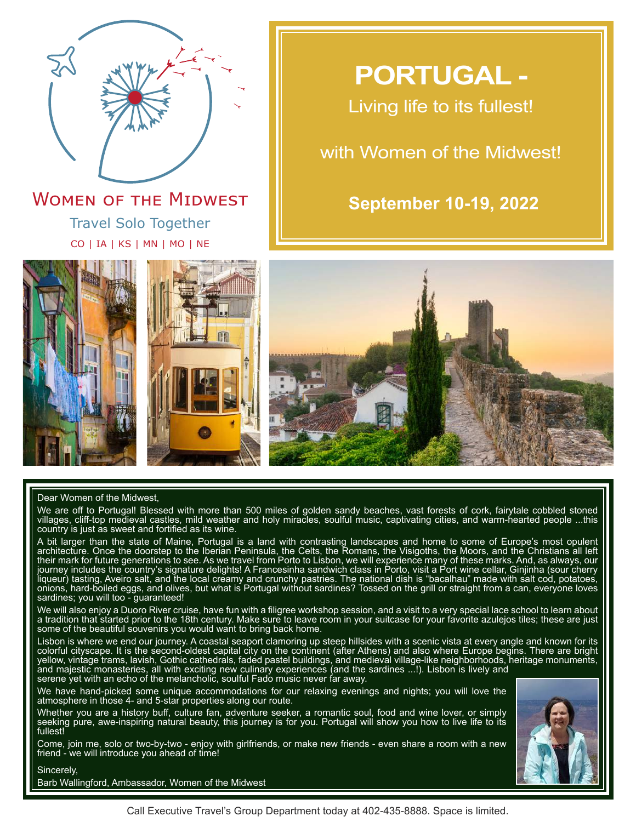

Travel Solo Together CO | IA | KS | MN | MO | NE **WOMEN OF THE MIDWEST** 

# **PORTUGAL -**

Living life to its fullest!

# with Women of the Midwest!

# **September 10-19, 2022**







# Dear Women of the Midwest,

We are off to Portugal! Blessed with more than 500 miles of golden sandy beaches, vast forests of cork, fairytale cobbled stoned villages, cliff-top medieval castles, mild weather and holy miracles, soulful music, captivating cities, and warm-hearted people ...this country is just as sweet and fortified as its wine.

A bit larger than the state of Maine, Portugal is a land with contrasting landscapes and home to some of Europe's most opulent architecture. Once the doorstep to the Iberian Peninsula, the Celts, the Romans, the Visigoths, the Moors, and the Christians all left their mark for future generations to see. As we travel from Porto to Lisbon, we will experience many of these marks. And, as always, our journey includes the country's signature delights! A Francesinha sandwich class in Porto, visit a Port wine cellar, Ginjinha (sour cherry liqueur) tasting, Aveiro salt, and the local creamy and crunchy pastries. The national dish is "bacalhau" made with salt cod, potatoes, onions, hard-boiled eggs, and olives, but what is Portugal without sardines? Tossed on the grill or straight from a can, everyone loves sardines; you will too - guaranteed!

We will also enjoy a Duoro River cruise, have fun with a filigree workshop session, and a visit to a very special lace school to learn about a tradition that started prior to the 18th century. Make sure to leave room in your suitcase for your favorite azulejos tiles; these are just some of the beautiful souvenirs you would want to bring back home.

Lisbon is where we end our journey. A coastal seaport clamoring up steep hillsides with a scenic vista at every angle and known for its colorful cityscape. It is the second-oldest capital city on the continent (after Athens) and also where Europe begins. There are bright yellow, vintage trams, lavish, Gothic cathedrals, faded pastel buildings, and medieval village-like neighborhoods, heritage monuments, and majestic monasteries, all with exciting new culinary experiences (and the sardines ...!). Lisbon is lively and serene yet with an echo of the melancholic, soulful Fado music never far away.

We have hand-picked some unique accommodations for our relaxing evenings and nights; you will love the atmosphere in those 4- and 5-star properties along our route.

Whether you are a history buff, culture fan, adventure seeker, a romantic soul, food and wine lover, or simply seeking pure, awe-inspiring natural beauty, this journey is for you. Portugal will show you how to live life to its fullest!

Come, join me, solo or two-by-two - enjoy with girlfriends, or make new friends - even share a room with a new friend - we will introduce you ahead of time!



Barb Wallingford, Ambassador, Women of the Midwest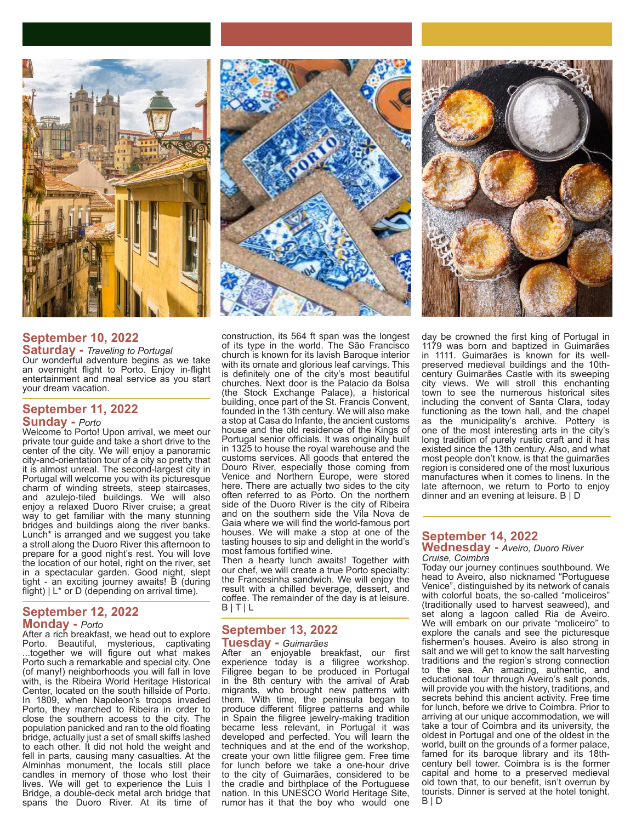

# **September 10, 2022**

**Saturday -** *Traveling to Portugal* Our wonderful adventure begins as we take an overnight flight to Porto. Enjoy in-flight entertainment and meal service as you start your dream vacation.

# **September 11, 2022**

### **Sunday -** *Porto*

Welcome to Porto! Upon arrival, we meet our private tour guide and take a short drive to the center of the city. We will enjoy a panoramic city-and-orientation tour of a city so pretty that it is almost unreal. The second-largest city in Portugal will welcome you with its picturesque charm of winding streets, steep staircases, and azulejo-tiled buildings. We will also enjoy a relaxed Duoro River cruise; a great way to get familiar with the many stunning bridges and buildings along the river banks. Lunch<sup>\*</sup> is arranged and we suggest you take a stroll along the Duoro River this afternoon to prepare for a good night's rest. You will love the location of our hotel, right on the river, set in a spectacular garden. Good night, slept tight - an exciting journey awaits! B (during flight) | L\* or D (depending on arrival time)*.*

# **September 12, 2022 Monday -** *Porto*

After a rich breakfast, we head out to explore Porto. Beautiful, mysterious, captivating ...together we will figure out what makes Porto such a remarkable and special city. One (of many!) neighborhoods you will fall in love with, is the Ribeira World Heritage Historical Center, located on the south hillside of Porto. In 1809, when Napoleon's troops invaded Porto, they marched to Ribeira in order to close the southern access to the city. The population panicked and ran to the old floating bridge, actually just a set of small skiffs lashed to each other. It did not hold the weight and fell in parts, causing many casualties. At the Alminhas monument, the locals still place candles in memory of those who lost their lives. We will get to experience the Luis I Bridge, a double-deck metal arch bridge that spans the Duoro River. At its time of



construction, its 564 ft span was the longest of its type in the world. The São Francisco church is known for its lavish Baroque interior with its ornate and glorious leaf carvings. This is definitely one of the city's most beautiful churches. Next door is the Palacio da Bolsa (the Stock Exchange Palace), a historical building, once part of the St. Francis Convent, founded in the 13th century. We will also make a stop at Casa do Infante, the ancient customs house and the old residence of the Kings of Portugal senior officials. It was originally built in 1325 to house the royal warehouse and the customs services. All goods that entered the Douro River, especially those coming from Venice and Northern Europe, were stored here. There are actually two sides to the city often referred to as Porto. On the northern side of the Duoro River is the city of Ribeira and on the southern side the Vila Nova de Gaia where we will find the world-famous port houses. We will make a stop at one of the tasting houses to sip and delight in the world's most famous fortified wine.

Then a hearty lunch awaits! Together with our chef, we will create a true Porto specialty: the Francesinha sandwich. We will enjoy the result with a chilled beverage, dessert, and coffee. The remainder of the day is at leisure. B | T | L

# **September 13, 2022 Tuesday -** *Guimarães*

After an enjoyable breakfast, our first experience today is a filigree workshop. Filigree began to be produced in Portugal in the 8th century with the arrival of Arab migrants, who brought new patterns with them. With time, the peninsula began to produce different filigree patterns and while in Spain the filigree jewelry-making tradition became less relevant, in Portugal it was developed and perfected. You will learn the techniques and at the end of the workshop, create your own little filigree gem. Free time for lunch before we take a one-hour drive to the city of Guimarães, considered to be the cradle and birthplace of the Portuguese nation. In this UNESCO World Heritage Site, rumor has it that the boy who would one



day be crowned the first king of Portugal in 1179 was born and baptized in Guimarães in 1111. Guimarães is known for its wellpreserved medieval buildings and the 10thcentury Guimarães Castle with its sweeping city views. We will stroll this enchanting town to see the numerous historical sites including the convent of Santa Clara, today functioning as the town hall, and the chapel as the municipality's archive. Pottery is one of the most interesting arts in the city's long tradition of purely rustic craft and it has existed since the 13th century. Also, and what most people don't know, is that the guimarães region is considered one of the most luxurious manufactures when it comes to linens. In the late afternoon, we return to Porto to enjoy dinner and an evening at leisure. B | D

#### **September 14, 2022 Wednesday -** *Aveiro, Duoro River Cruise, Coimbra*

Today our journey continues southbound. We head to Aveiro, also nicknamed "Portuguese Venice", distinguished by its network of canals with colorful boats, the so-called "moliceiros" (traditionally used to harvest seaweed), and set along a lagoon called Ria de Aveiro. We will embark on our private "moliceiro" to explore the canals and see the picturesque fishermen's houses. Aveiro is also strong in salt and we will get to know the salt harvesting traditions and the region's strong connection to the sea. An amazing, authentic, and educational tour through Aveiro's salt ponds, will provide you with the history, traditions, and secrets behind this ancient activity. Free time for lunch, before we drive to Coimbra. Prior to arriving at our unique accommodation, we will take a tour of Coimbra and its university, the oldest in Portugal and one of the oldest in the world, built on the grounds of a former palace, famed for its baroque library and its 18thcentury bell tower. Coimbra is is the former capital and home to a preserved medieval old town that, to our benefit, isn't overrun by tourists. Dinner is served at the hotel tonight. B | D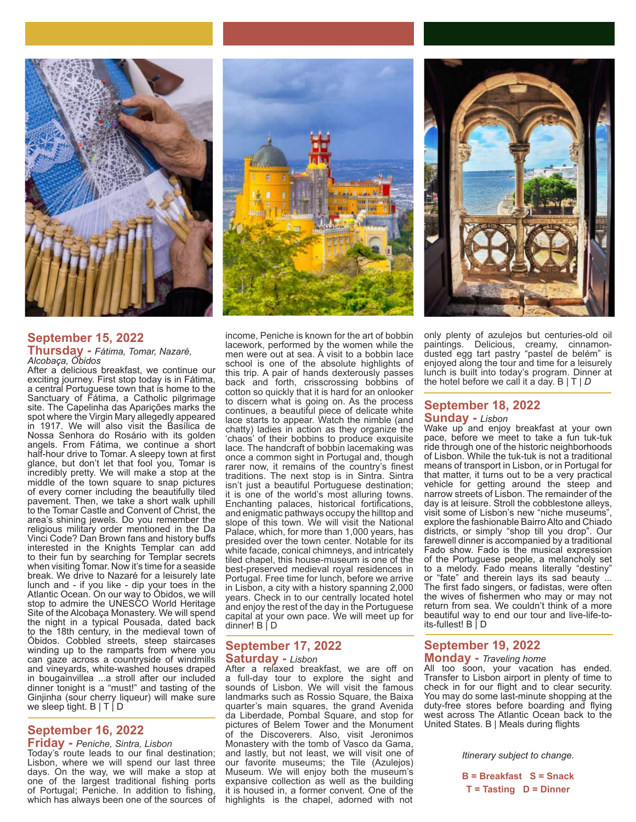

# **September 15, 2022 Thursday -** *Fátima, Tomar, Nazaré, Alcobaça, Óbidos*

After a delicious breakfast, we continue our exciting journey. First stop today is in Fátima, a central Portuguese town that is home to the Sanctuary of Fátima, a Catholic pilgrimage site. The Capelinha das Aparições marks the spot where the Virgin Mary allegedly appeared in 1917. We will also visit the Basílica de Nossa Senhora do Rosário with its golden angels. From Fátima, we continue a short half-hour drive to Tomar. A sleepy town at first glance, but don't let that fool you, Tomar is incredibly pretty. We will make a stop at the middle of the town square to snap pictures of every corner including the beautifully tiled pavement. Then, we take a short walk uphill to the Tomar Castle and Convent of Christ, the area's shining jewels. Do you remember the religious military order mentioned in the Da Vinci Code? Dan Brown fans and history buffs interested in the Knights Templar can add to their fun by searching for Templar secrets when visiting Tomar. Now it's time for a seaside break. We drive to Nazaré for a leisurely late lunch and - if you like - dip your toes in the Atlantic Ocean. On our way to Óbidos, we will stop to admire the UNESCO World Heritage Site of the Alcobaça Monastery. We will spend the night in a typical Pousada, dated back to the 18th century, in the medieval town of Óbidos. Cobbled streets, steep staircases winding up to the ramparts from where you can gaze across a countryside of windmills and vineyards, white-washed houses draped in bougainvillea ...a stroll after our included dinner tonight is a "must!" and tasting of the Ginjinha (sour cherry liqueur) will make sure we sleep tight.  $B | T | D$ 

# **September 16, 2022**

**Friday -** *Peniche, Sintra, Lisbon* Today's route leads to our final destination; Lisbon, where we will spend our last three days. On the way, we will make a stop at one of the largest traditional fishing ports of Portugal; Peniche. In addition to fishing, which has always been one of the sources of



income, Peniche is known for the art of bobbin lacework, performed by the women while the men were out at sea. A visit to a bobbin lace school is one of the absolute highlights of this trip. A pair of hands dexterously passes back and forth, crisscrossing bobbins of cotton so quickly that it is hard for an onlooker to discern what is going on. As the process continues, a beautiful piece of delicate white lace starts to appear. Watch the nimble (and chatty) ladies in action as they organize the 'chaos' of their bobbins to produce exquisite lace. The handcraft of bobbin lacemaking was once a common sight in Portugal and, though rarer now, it remains of the country's finest traditions. The next stop is in Sintra. Sintra isn't just a beautiful Portuguese destination; it is one of the world's most alluring towns. Enchanting palaces, historical fortifications, and enigmatic pathways occupy the hilltop and slope of this town. We will visit the National Palace, which, for more than 1,000 years, has presided over the town center. Notable for its white facade, conical chimneys, and intricately tiled chapel, this house-museum is one of the best-preserved medieval royal residences in Portugal. Free time for lunch, before we arrive in Lisbon, a city with a history spanning 2,000 years. Check in to our centrally located hotel and enjoy the rest of the day in the Portuguese capital at your own pace. We will meet up for dinner! B | D

# **September 17, 2022 Saturday -** *Lisbon*

After a relaxed breakfast, we are off on a full-day tour to explore the sight and sounds of Lisbon. We will visit the famous landmarks such as Rossio Square, the Baixa quarter's main squares, the grand Avenida da Liberdade, Pombal Square, and stop for pictures of Belem Tower and the Monument of the Discoverers. Also, visit Jeronimos Monastery with the tomb of Vasco da Gama, and lastly, but not least, we will visit one of our favorite museums; the Tile (Azulejos) Museum. We will enjoy both the museum's expansive collection as well as the building it is housed in, a former convent. One of the highlights is the chapel, adorned with not



only plenty of azulejos but centuries-old oil paintings. Delicious, creamy, cinnamondusted egg tart pastry "pastel de belém" is enjoyed along the tour and time for a leisurely lunch is built into today's program. Dinner at the hotel before we call it a day. B | T | *D*

# **September 18, 2022 Sunday -** *Lisbon*

Wake up and enjoy breakfast at your own pace, before we meet to take a fun tuk-tuk ride through one of the historic neighborhoods of Lisbon. While the tuk-tuk is not a traditional means of transport in Lisbon, or in Portugal for that matter, it turns out to be a very practical vehicle for getting around the steep and narrow streets of Lisbon. The remainder of the day is at leisure. Stroll the cobblestone alleys, visit some of Lisbon's new "niche museums", explore the fashionable Bairro Alto and Chiado districts, or simply "shop till you drop". Our farewell dinner is accompanied by a traditional Fado show. Fado is the musical expression of the Portuguese people, a melancholy set to a melody. Fado means literally "destiny" or "fate" and therein lays its sad beauty ... The first fado singers, or fadistas, were often the wives of fishermen who may or may not return from sea. We couldn't think of a more beautiful way to end our tour and live-life-toits-fullest! B | D

# **September 19, 2022 Monday -** *Traveling home*

All too soon, your vacation has ended. Transfer to Lisbon airport in plenty of time to check in for our flight and to clear security. You may do some last-minute shopping at the duty-free stores before boarding and flying west across The Atlantic Ocean back to the United States. B | Meals during flights

*Itinerary subject to change.*

**B = Breakfast S = Snack T = Tasting D = Dinner**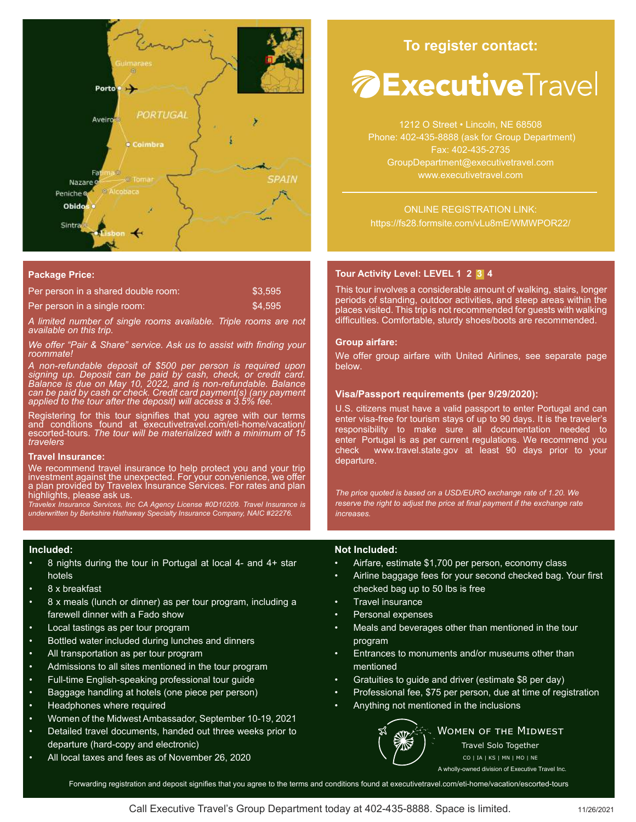

#### **Package Price:**

| Per person in a shared double room: | \$3.595 |
|-------------------------------------|---------|
| Per person in a single room:        | \$4.595 |

*A limited number of single rooms available. Triple rooms are not available on this trip.* 

*We offer "Pair & Share" service. Ask us to assist with finding your roommate!* 

*A non-refundable deposit of \$500 per person is required upon signing up. Deposit can be paid by cash, check, or credit card. Balance is due on May 10, 2022, and is non-refundable. Balance can be paid by cash or check. Credit card payment(s) (any payment applied to the tour after the deposit) will access a 3.5% fee.*

Registering for this tour signifies that you agree with our terms and conditions found at executivetravel.com/eti-home/vacation/ escorted-tours. *The tour will be materialized with a minimum of 15 travelers*

#### **Travel Insurance:**

We recommend travel insurance to help protect you and your trip investment against the unexpected. For your convenience, we offer a plan provided by Travelex Insurance Services. For rates and plan highlights, please ask us.

*Travelex Insurance Services, Inc CA Agency License #0D10209. Travel Insurance is underwritten by Berkshire Hathaway Specialty Insurance Company, NAIC #22276.*

#### **Included:**

- 8 nights during the tour in Portugal at local 4- and 4+ star hotels
- 8 x breakfast
- 8 x meals (lunch or dinner) as per tour program, including a farewell dinner with a Fado show
- Local tastings as per tour program
- Bottled water included during lunches and dinners
- All transportation as per tour program
- Admissions to all sites mentioned in the tour program
- Full-time English-speaking professional tour guide
- Baggage handling at hotels (one piece per person)
- Headphones where required
- Women of the Midwest Ambassador, September 10-19, 2021
- Detailed travel documents, handed out three weeks prior to departure (hard-copy and electronic)
- All local taxes and fees as of November 26, 2020

# **To register contact:**

# *A* **Executive** Travel

1212 O Street • Lincoln, NE 68508 Phone: 402-435-8888 (ask for Group Department) Fax: 402-435-2735 GroupDepartment@executivetravel.com www.executivetravel.com

ONLINE REGISTRATION LINK: https://fs28.formsite.com/vLu8mE/WMWPOR22/

# **Tour Activity Level: LEVEL 1 2 3 4**

This tour involves a considerable amount of walking, stairs, longer periods of standing, outdoor activities, and steep areas within the places visited. This trip is not recommended for guests with walking difficulties. Comfortable, sturdy shoes/boots are recommended.

#### **Group airfare:**

We offer group airfare with United Airlines, see separate page below.

#### **Visa/Passport requirements (per 9/29/2020):**

U.S. citizens must have a valid passport to enter Portugal and can enter visa-free for tourism stays of up to 90 days. It is the traveler's responsibility to make sure all documentation needed to enter Portugal is as per current regulations. We recommend you check www.travel.state.gov at least 90 days prior to your departure.

*The price quoted is based on a USD/EURO exchange rate of 1.20. We reserve the right to adjust the price at final payment if the exchange rate increases.*

# **Not Included:**

- Airfare, estimate \$1,700 per person, economy class
- Airline baggage fees for your second checked bag. Your first checked bag up to 50 lbs is free
- Travel insurance
- Personal expenses
- Meals and beverages other than mentioned in the tour program
- Entrances to monuments and/or museums other than mentioned
- Gratuities to guide and driver (estimate \$8 per day)
- Professional fee, \$75 per person, due at time of registration
- Anything not mentioned in the inclusions



**WOMEN OF THE MIDWEST** Travel Solo Together

CO | IA | KS | MN | MO | NE A wholly-owned division of Executive Travel Inc.

Forwarding registration and deposit signifies that you agree to the terms and conditions found at executivetravel.com/eti-home/vacation/escorted-tours